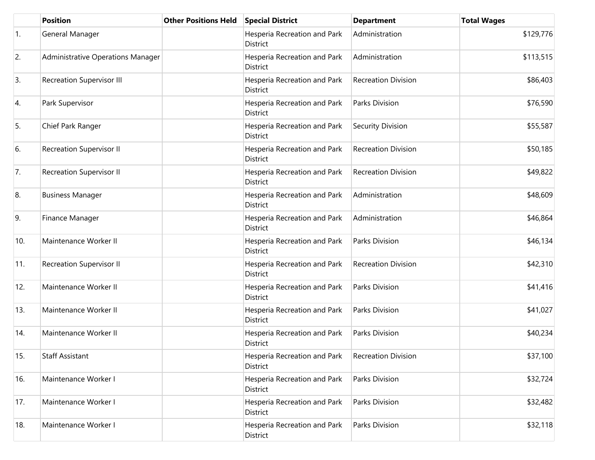|                  | <b>Position</b>                   | <b>Other Positions Held</b> | <b>Special District</b>                  | <b>Department</b>          | <b>Total Wages</b> |
|------------------|-----------------------------------|-----------------------------|------------------------------------------|----------------------------|--------------------|
| $\overline{1}$ . | General Manager                   |                             | Hesperia Recreation and Park<br>District | Administration             | \$129,776          |
| 2.               | Administrative Operations Manager |                             | Hesperia Recreation and Park<br>District | Administration             | \$113,515          |
| 3.               | <b>Recreation Supervisor III</b>  |                             | Hesperia Recreation and Park<br>District | <b>Recreation Division</b> | \$86,403           |
| 4.               | Park Supervisor                   |                             | Hesperia Recreation and Park<br>District | Parks Division             | \$76,590           |
| 5.               | Chief Park Ranger                 |                             | Hesperia Recreation and Park<br>District | Security Division          | \$55,587           |
| 6.               | <b>Recreation Supervisor II</b>   |                             | Hesperia Recreation and Park<br>District | <b>Recreation Division</b> | \$50,185           |
| 7.               | Recreation Supervisor II          |                             | Hesperia Recreation and Park<br>District | <b>Recreation Division</b> | \$49,822           |
| 8.               | <b>Business Manager</b>           |                             | Hesperia Recreation and Park<br>District | Administration             | \$48,609           |
| 9.               | Finance Manager                   |                             | Hesperia Recreation and Park<br>District | Administration             | \$46,864           |
| 10.              | Maintenance Worker II             |                             | Hesperia Recreation and Park<br>District | Parks Division             | \$46,134           |
| 11.              | <b>Recreation Supervisor II</b>   |                             | Hesperia Recreation and Park<br>District | <b>Recreation Division</b> | \$42,310           |
| 12.              | Maintenance Worker II             |                             | Hesperia Recreation and Park<br>District | Parks Division             | \$41,416           |
| 13.              | Maintenance Worker II             |                             | Hesperia Recreation and Park<br>District | Parks Division             | \$41,027           |
| 14.              | Maintenance Worker II             |                             | Hesperia Recreation and Park<br>District | Parks Division             | \$40,234           |
| 15.              | <b>Staff Assistant</b>            |                             | Hesperia Recreation and Park<br>District | <b>Recreation Division</b> | \$37,100           |
| 16.              | Maintenance Worker I              |                             | Hesperia Recreation and Park<br>District | Parks Division             | \$32,724           |
| 17.              | Maintenance Worker I              |                             | Hesperia Recreation and Park<br>District | Parks Division             | \$32,482           |
| 18.              | Maintenance Worker I              |                             | Hesperia Recreation and Park<br>District | Parks Division             | \$32,118           |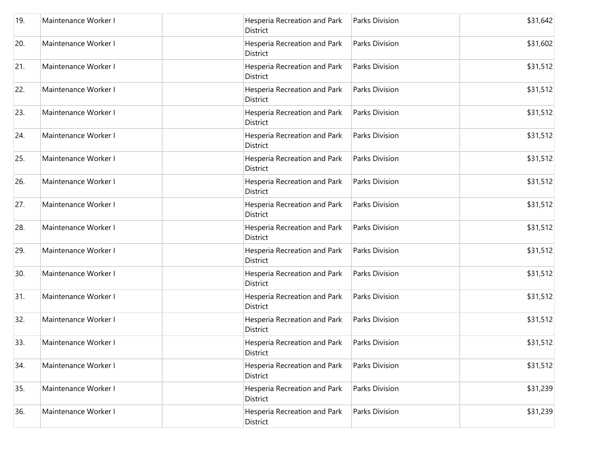| 19. | Maintenance Worker I | Hesperia Recreation and Park<br>District        | Parks Division | \$31,642 |
|-----|----------------------|-------------------------------------------------|----------------|----------|
| 20. | Maintenance Worker I | Hesperia Recreation and Park<br><b>District</b> | Parks Division | \$31,602 |
| 21. | Maintenance Worker I | Hesperia Recreation and Park<br>District        | Parks Division | \$31,512 |
| 22. | Maintenance Worker I | Hesperia Recreation and Park<br>District        | Parks Division | \$31,512 |
| 23. | Maintenance Worker I | Hesperia Recreation and Park<br>District        | Parks Division | \$31,512 |
| 24. | Maintenance Worker I | Hesperia Recreation and Park<br>District        | Parks Division | \$31,512 |
| 25. | Maintenance Worker I | Hesperia Recreation and Park<br><b>District</b> | Parks Division | \$31,512 |
| 26. | Maintenance Worker I | Hesperia Recreation and Park<br>District        | Parks Division | \$31,512 |
| 27. | Maintenance Worker I | Hesperia Recreation and Park<br>District        | Parks Division | \$31,512 |
| 28. | Maintenance Worker I | Hesperia Recreation and Park<br>District        | Parks Division | \$31,512 |
| 29. | Maintenance Worker I | Hesperia Recreation and Park<br>District        | Parks Division | \$31,512 |
| 30. | Maintenance Worker I | Hesperia Recreation and Park<br>District        | Parks Division | \$31,512 |
| 31. | Maintenance Worker I | Hesperia Recreation and Park<br>District        | Parks Division | \$31,512 |
| 32. | Maintenance Worker I | Hesperia Recreation and Park<br><b>District</b> | Parks Division | \$31,512 |
| 33. | Maintenance Worker I | Hesperia Recreation and Park<br>District        | Parks Division | \$31,512 |
| 34. | Maintenance Worker I | Hesperia Recreation and Park<br>District        | Parks Division | \$31,512 |
| 35. | Maintenance Worker I | Hesperia Recreation and Park<br>District        | Parks Division | \$31,239 |
| 36. | Maintenance Worker I | Hesperia Recreation and Park<br>District        | Parks Division | \$31,239 |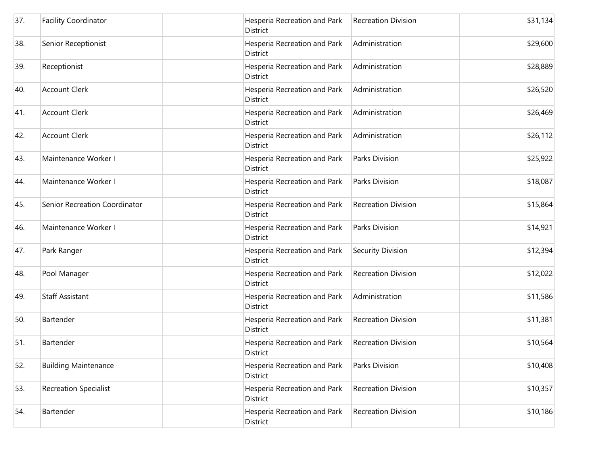| 37. | <b>Facility Coordinator</b>   | District        | Hesperia Recreation and Park | <b>Recreation Division</b> | \$31,134 |
|-----|-------------------------------|-----------------|------------------------------|----------------------------|----------|
| 38. | Senior Receptionist           | <b>District</b> | Hesperia Recreation and Park | Administration             | \$29,600 |
| 39. | Receptionist                  | <b>District</b> | Hesperia Recreation and Park | Administration             | \$28,889 |
| 40. | <b>Account Clerk</b>          | <b>District</b> | Hesperia Recreation and Park | Administration             | \$26,520 |
| 41. | <b>Account Clerk</b>          | District        | Hesperia Recreation and Park | Administration             | \$26,469 |
| 42. | <b>Account Clerk</b>          | District        | Hesperia Recreation and Park | Administration             | \$26,112 |
| 43. | Maintenance Worker I          | <b>District</b> | Hesperia Recreation and Park | Parks Division             | \$25,922 |
| 44. | Maintenance Worker I          | <b>District</b> | Hesperia Recreation and Park | <b>Parks Division</b>      | \$18,087 |
| 45. | Senior Recreation Coordinator | District        | Hesperia Recreation and Park | <b>Recreation Division</b> | \$15,864 |
| 46. | Maintenance Worker I          | District        | Hesperia Recreation and Park | Parks Division             | \$14,921 |
| 47. | Park Ranger                   | District        | Hesperia Recreation and Park | Security Division          | \$12,394 |
| 48. | Pool Manager                  | <b>District</b> | Hesperia Recreation and Park | <b>Recreation Division</b> | \$12,022 |
| 49. | <b>Staff Assistant</b>        | District        | Hesperia Recreation and Park | Administration             | \$11,586 |
| 50. | Bartender                     | <b>District</b> | Hesperia Recreation and Park | <b>Recreation Division</b> | \$11,381 |
| 51. | Bartender                     | District        | Hesperia Recreation and Park | <b>Recreation Division</b> | \$10,564 |
| 52. | <b>Building Maintenance</b>   | District        | Hesperia Recreation and Park | Parks Division             | \$10,408 |
| 53. | <b>Recreation Specialist</b>  | District        | Hesperia Recreation and Park | <b>Recreation Division</b> | \$10,357 |
| 54. | Bartender                     | District        | Hesperia Recreation and Park | <b>Recreation Division</b> | \$10,186 |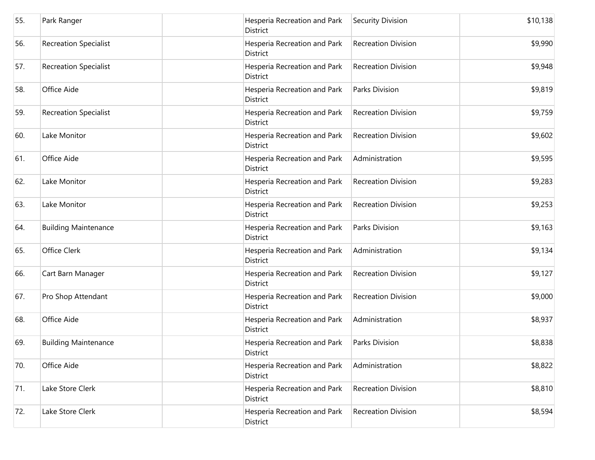| 55. | Park Ranger                  | District        | Hesperia Recreation and Park | Security Division          | \$10,138 |
|-----|------------------------------|-----------------|------------------------------|----------------------------|----------|
| 56. | <b>Recreation Specialist</b> | District        | Hesperia Recreation and Park | <b>Recreation Division</b> | \$9,990  |
| 57. | <b>Recreation Specialist</b> | District        | Hesperia Recreation and Park | <b>Recreation Division</b> | \$9,948  |
| 58. | Office Aide                  | District        | Hesperia Recreation and Park | <b>Parks Division</b>      | \$9,819  |
| 59. | <b>Recreation Specialist</b> | <b>District</b> | Hesperia Recreation and Park | <b>Recreation Division</b> | \$9,759  |
| 60. | Lake Monitor                 | District        | Hesperia Recreation and Park | <b>Recreation Division</b> | \$9,602  |
| 61. | Office Aide                  | <b>District</b> | Hesperia Recreation and Park | Administration             | \$9,595  |
| 62. | Lake Monitor                 | District        | Hesperia Recreation and Park | <b>Recreation Division</b> | \$9,283  |
| 63. | Lake Monitor                 | District        | Hesperia Recreation and Park | <b>Recreation Division</b> | \$9,253  |
| 64. | <b>Building Maintenance</b>  | District        | Hesperia Recreation and Park | Parks Division             | \$9,163  |
| 65. | Office Clerk                 | District        | Hesperia Recreation and Park | Administration             | \$9,134  |
| 66. | Cart Barn Manager            | District        | Hesperia Recreation and Park | <b>Recreation Division</b> | \$9,127  |
| 67. | Pro Shop Attendant           | District        | Hesperia Recreation and Park | <b>Recreation Division</b> | \$9,000  |
| 68. | Office Aide                  | <b>District</b> | Hesperia Recreation and Park | Administration             | \$8,937  |
| 69. | <b>Building Maintenance</b>  | District        | Hesperia Recreation and Park | Parks Division             | \$8,838  |
| 70. | Office Aide                  | District        | Hesperia Recreation and Park | Administration             | \$8,822  |
| 71. | Lake Store Clerk             | District        | Hesperia Recreation and Park | <b>Recreation Division</b> | \$8,810  |
| 72. | Lake Store Clerk             | District        | Hesperia Recreation and Park | <b>Recreation Division</b> | \$8,594  |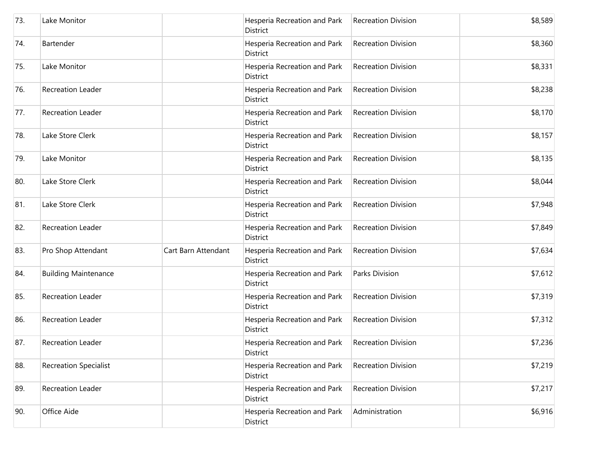| 73. | Lake Monitor                 |                     | Hesperia Recreation and Park<br>District        | <b>Recreation Division</b> | \$8,589 |
|-----|------------------------------|---------------------|-------------------------------------------------|----------------------------|---------|
| 74. | Bartender                    |                     | Hesperia Recreation and Park<br><b>District</b> | <b>Recreation Division</b> | \$8,360 |
| 75. | Lake Monitor                 |                     | Hesperia Recreation and Park<br><b>District</b> | <b>Recreation Division</b> | \$8,331 |
| 76. | <b>Recreation Leader</b>     |                     | Hesperia Recreation and Park<br><b>District</b> | <b>Recreation Division</b> | \$8,238 |
| 77. | <b>Recreation Leader</b>     |                     | Hesperia Recreation and Park<br>District        | <b>Recreation Division</b> | \$8,170 |
| 78. | Lake Store Clerk             |                     | Hesperia Recreation and Park<br><b>District</b> | <b>Recreation Division</b> | \$8,157 |
| 79. | Lake Monitor                 |                     | Hesperia Recreation and Park<br><b>District</b> | <b>Recreation Division</b> | \$8,135 |
| 80. | Lake Store Clerk             |                     | Hesperia Recreation and Park<br><b>District</b> | Recreation Division        | \$8,044 |
| 81. | Lake Store Clerk             |                     | Hesperia Recreation and Park<br><b>District</b> | <b>Recreation Division</b> | \$7,948 |
| 82. | <b>Recreation Leader</b>     |                     | Hesperia Recreation and Park<br>District        | <b>Recreation Division</b> | \$7,849 |
| 83. | Pro Shop Attendant           | Cart Barn Attendant | Hesperia Recreation and Park<br><b>District</b> | <b>Recreation Division</b> | \$7,634 |
| 84. | <b>Building Maintenance</b>  |                     | Hesperia Recreation and Park<br><b>District</b> | Parks Division             | \$7,612 |
| 85. | Recreation Leader            |                     | Hesperia Recreation and Park<br><b>District</b> | <b>Recreation Division</b> | \$7,319 |
| 86. | <b>Recreation Leader</b>     |                     | Hesperia Recreation and Park<br><b>District</b> | <b>Recreation Division</b> | \$7,312 |
| 87. | Recreation Leader            |                     | Hesperia Recreation and Park<br>District        | <b>Recreation Division</b> | \$7,236 |
| 88. | <b>Recreation Specialist</b> |                     | Hesperia Recreation and Park<br><b>District</b> | <b>Recreation Division</b> | \$7,219 |
| 89. | Recreation Leader            |                     | Hesperia Recreation and Park<br><b>District</b> | <b>Recreation Division</b> | \$7,217 |
| 90. | Office Aide                  |                     | Hesperia Recreation and Park<br>District        | Administration             | \$6,916 |